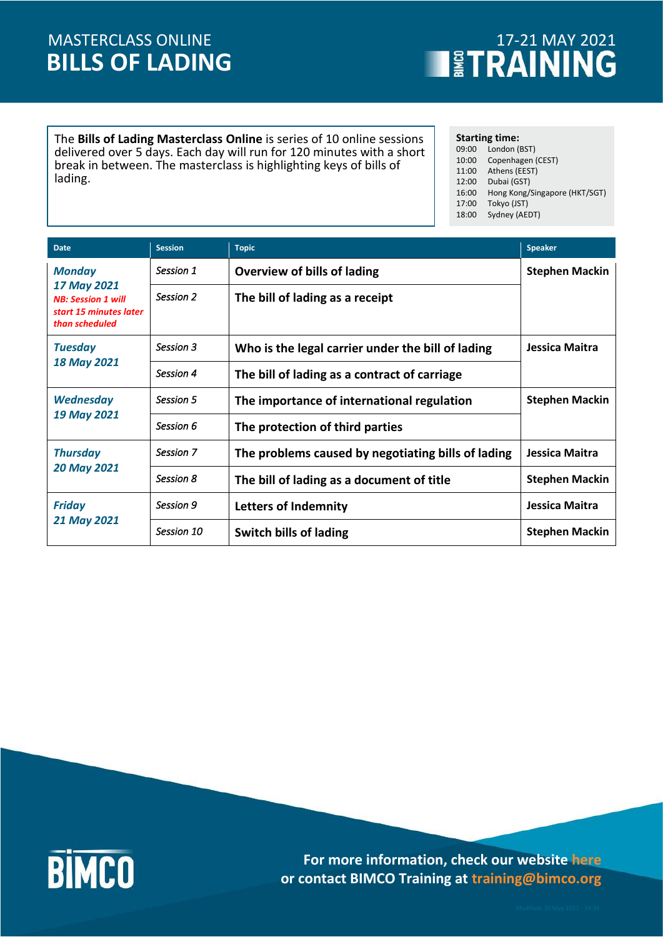## **BILLS OF LADING** MASTERCLASS ONLINE

# **THE TRAINING**

The **Bills of Lading Masterclass Online** is series of 10 online sessions delivered over 5 days. Each day will run for 120 minutes with a short break in between. The masterclass is highlighting keys of bills of lading.

**Starting time:**

09:00 London (BST) 10:00 Copenhagen (CEST) 11:00 Athens (EEST) 12:00 Dubai (GST) 16:00 Hong Kong/Singapore (HKT/SGT) 17:00 Tokyo (JST) 18:00 Sydney (AEDT)

| <b>Date</b>                                                                                           | <b>Session</b> | <b>Topic</b>                                       | <b>Speaker</b>        |
|-------------------------------------------------------------------------------------------------------|----------------|----------------------------------------------------|-----------------------|
| <b>Monday</b><br>17 May 2021<br><b>NB: Session 1 will</b><br>start 15 minutes later<br>than scheduled | Session 1      | Overview of bills of lading                        | <b>Stephen Mackin</b> |
|                                                                                                       | Session 2      | The bill of lading as a receipt                    |                       |
| <b>Tuesday</b><br><b>18 May 2021</b>                                                                  | Session 3      | Who is the legal carrier under the bill of lading  | Jessica Maitra        |
|                                                                                                       | Session 4      | The bill of lading as a contract of carriage       |                       |
| <b>Wednesday</b><br>19 May 2021                                                                       | Session 5      | The importance of international regulation         | <b>Stephen Mackin</b> |
|                                                                                                       | Session 6      | The protection of third parties                    |                       |
| <b>Thursday</b><br><b>20 May 2021</b>                                                                 | Session 7      | The problems caused by negotiating bills of lading | Jessica Maitra        |
|                                                                                                       | Session 8      | The bill of lading as a document of title          | <b>Stephen Mackin</b> |
| <b>Friday</b><br>21 May 2021                                                                          | Session 9      | <b>Letters of Indemnity</b>                        | Jessica Maitra        |
|                                                                                                       | Session 10     | <b>Switch bills of lading</b>                      | <b>Stephen Mackin</b> |



**For more information, check our website [here](https://www.bimco.org/training) or contact BIMCO Training at training@bimco.org**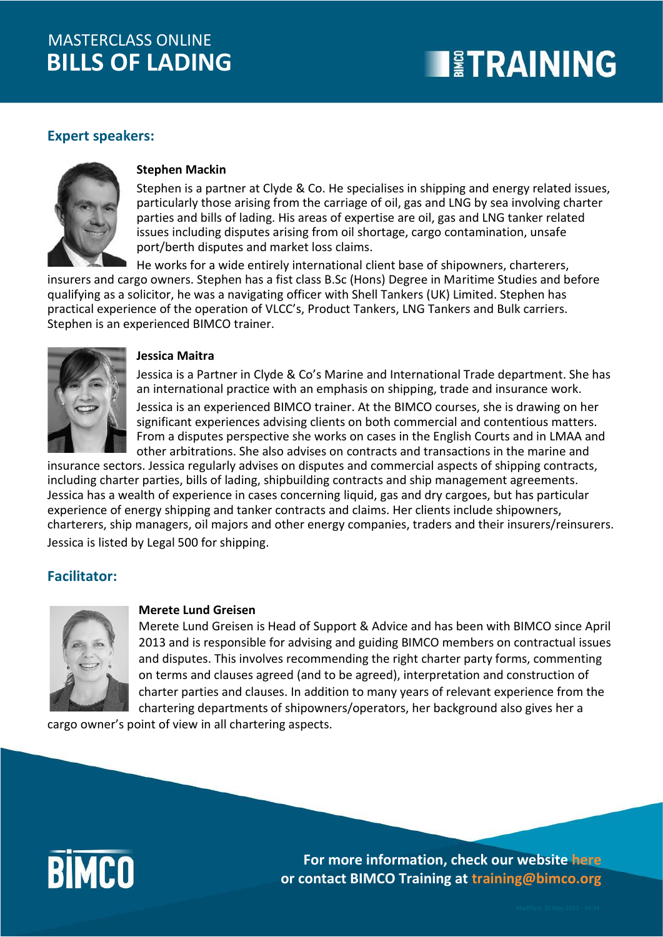## **BILLS OF LADING** MASTERCLASS ONLINE

## **EXPERIENT STRAINING**

#### **Expert speakers:**



#### **Stephen Mackin**

Stephen is a partner at Clyde & Co. He specialises in shipping and energy related issues, particularly those arising from the carriage of oil, gas and LNG by sea involving charter parties and bills of lading. His areas of expertise are oil, gas and LNG tanker related issues including disputes arising from oil shortage, cargo contamination, unsafe port/berth disputes and market loss claims.

He works for a wide entirely international client base of shipowners, charterers, insurers and cargo owners. Stephen has a fist class B.Sc (Hons) Degree in Maritime Studies and before qualifying as a solicitor, he was a navigating officer with Shell Tankers (UK) Limited. Stephen has practical experience of the operation of VLCC's, Product Tankers, LNG Tankers and Bulk carriers. Stephen is an experienced BIMCO trainer.



#### **Jessica Maitra**

Jessica is a Partner in Clyde & Co's Marine and International Trade department. She has an international practice with an emphasis on shipping, trade and insurance work.

Jessica is an experienced BIMCO trainer. At the BIMCO courses, she is drawing on her significant experiences advising clients on both commercial and contentious matters. From a disputes perspective she works on cases in the English Courts and in LMAA and other arbitrations. She also advises on contracts and transactions in the marine and

insurance sectors. Jessica regularly advises on disputes and commercial aspects of shipping contracts, including charter parties, bills of lading, shipbuilding contracts and ship management agreements. Jessica has a wealth of experience in cases concerning liquid, gas and dry cargoes, but has particular experience of energy shipping and tanker contracts and claims. Her clients include shipowners, charterers, ship managers, oil majors and other energy companies, traders and their insurers/reinsurers. Jessica is listed by Legal 500 for shipping.

#### **Facilitator:**



#### **Merete Lund Greisen**

Merete Lund Greisen is Head of Support & Advice and has been with BIMCO since April 2013 and is responsible for advising and guiding BIMCO members on contractual issues and disputes. This involves recommending the right charter party forms, commenting on terms and clauses agreed (and to be agreed), interpretation and construction of charter parties and clauses. In addition to many years of relevant experience from the chartering departments of shipowners/operators, her background also gives her a

cargo owner's point of view in all chartering aspects.



**For more information, check our website [here](https://www.bimco.org/training) or contact BIMCO Training at training@bimco.org**